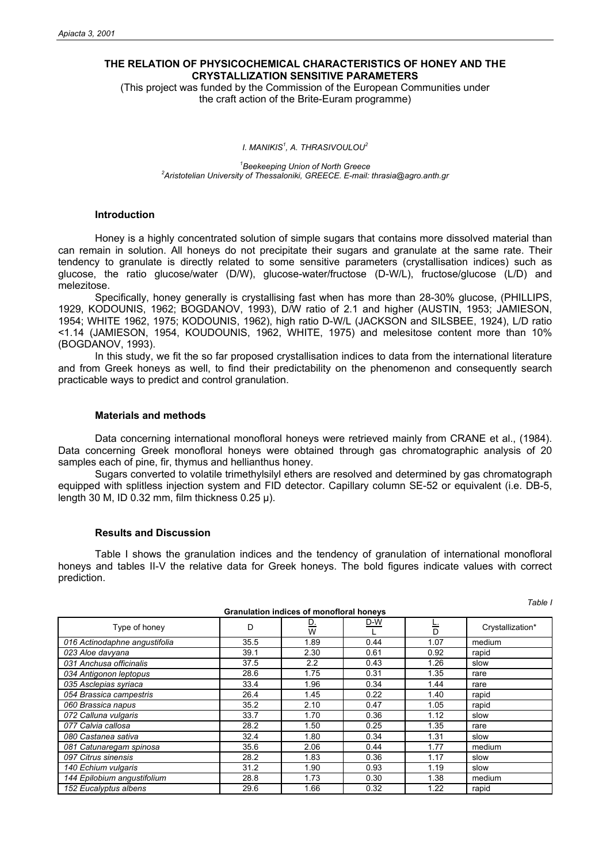# **THE RELATION OF PHYSICOCHEMICAL CHARACTERISTICS OF HONEY AND THE CRYSTALLIZATION SENSITIVE PARAMETERS**

(This project was funded by the Commission of the European Communities under the craft action of the Brite-Euram programme)

*I. MANIKIS<sup>1</sup> , A. THRASIVOULOU<sup>2</sup>*

<sup>1</sup> Beekeeping Union of North Greece *Beekeeping Union of North Greece 2 Aristotelian University of Thessaloniki, GREECE. E-mail: thrasia@agro.anth.gr* 

## **Introduction**

Honey is a highly concentrated solution of simple sugars that contains more dissolved material than can remain in solution. All honeys do not precipitate their sugars and granulate at the same rate. Their tendency to granulate is directly related to some sensitive parameters (crystallisation indices) such as glucose, the ratio glucose/water (D/W), glucose-water/fructose (D-W/L), fructose/glucose (L/D) and melezitose.

 Specifically, honey generally is crystallising fast when has more than 28-30% glucose, (PHILLIPS, 1929, KODOUNIS, 1962; BOGDANOV, 1993), D/W ratio of 2.1 and higher (AUSTIN, 1953; JAMIESON, 1954; WHITE 1962, 1975; KODOUNIS, 1962), high ratio D-W/L (JACKSON and SILSBEE, 1924), L/D ratio <1.14 (JAMIESON, 1954, KOUDOUNIS, 1962, WHITE, 1975) and melesitose content more than 10% (BOGDANOV, 1993).

 In this study, we fit the so far proposed crystallisation indices to data from the international literature and from Greek honeys as well, to find their predictability on the phenomenon and consequently search practicable ways to predict and control granulation.

#### **Materials and methods**

Data concerning international monofloral honeys were retrieved mainly from CRANE et al., (1984). Data concerning Greek monofloral honeys were obtained through gas chromatographic analysis of 20 samples each of pine, fir, thymus and hellianthus honey.

 Sugars converted to volatile trimethylsilyl ethers are resolved and determined by gas chromatograph equipped with splitless injection system and FID detector. Capillary column SE-52 or equivalent (i.e. DB-5, length 30 M, ID 0.32 mm, film thickness 0.25 µ).

# **Results and Discussion**

 Table I shows the granulation indices and the tendency of granulation of international monofloral honeys and tables II-V the relative data for Greek honeys. The bold figures indicate values with correct prediction.

*Table I* 

| <b>Granulation indices of monofloral honeys</b> |      |                  |      |      |                  |  |  |
|-------------------------------------------------|------|------------------|------|------|------------------|--|--|
| Type of honey                                   | D    | <u>D.</u><br>W   | D-W  | D    | Crystallization* |  |  |
| 016 Actinodaphne angustifolia                   | 35.5 | 1.89             | 0.44 | 1.07 | medium           |  |  |
| 023 Aloe davyana                                | 39.1 | 2.30             | 0.61 | 0.92 | rapid            |  |  |
| 031 Anchusa officinalis                         | 37.5 | $2.2\phantom{0}$ | 0.43 | 1.26 | slow             |  |  |
| 034 Antigonon leptopus                          | 28.6 | 1.75             | 0.31 | 1.35 | rare             |  |  |
| 035 Asclepias syriaca                           | 33.4 | 1.96             | 0.34 | 1.44 | rare             |  |  |
| 054 Brassica campestris                         | 26.4 | 1.45             | 0.22 | 1.40 | rapid            |  |  |
| 060 Brassica napus                              | 35.2 | 2.10             | 0.47 | 1.05 | rapid            |  |  |
| 072 Calluna vulgaris                            | 33.7 | 1.70             | 0.36 | 1.12 | slow             |  |  |
| 077 Calvia callosa                              | 28.2 | 1.50             | 0.25 | 1.35 | rare             |  |  |
| 080 Castanea sativa                             | 32.4 | 1.80             | 0.34 | 1.31 | slow             |  |  |
| 081 Catunaregam spinosa                         | 35.6 | 2.06             | 0.44 | 1.77 | medium           |  |  |
| 097 Citrus sinensis                             | 28.2 | 1.83             | 0.36 | 1.17 | slow             |  |  |
| 140 Echium vulgaris                             | 31.2 | 1.90             | 0.93 | 1.19 | slow             |  |  |
| 144 Epilobium angustifolium                     | 28.8 | 1.73             | 0.30 | 1.38 | medium           |  |  |
| 152 Eucalyptus albens                           | 29.6 | 1.66             | 0.32 | 1.22 | rapid            |  |  |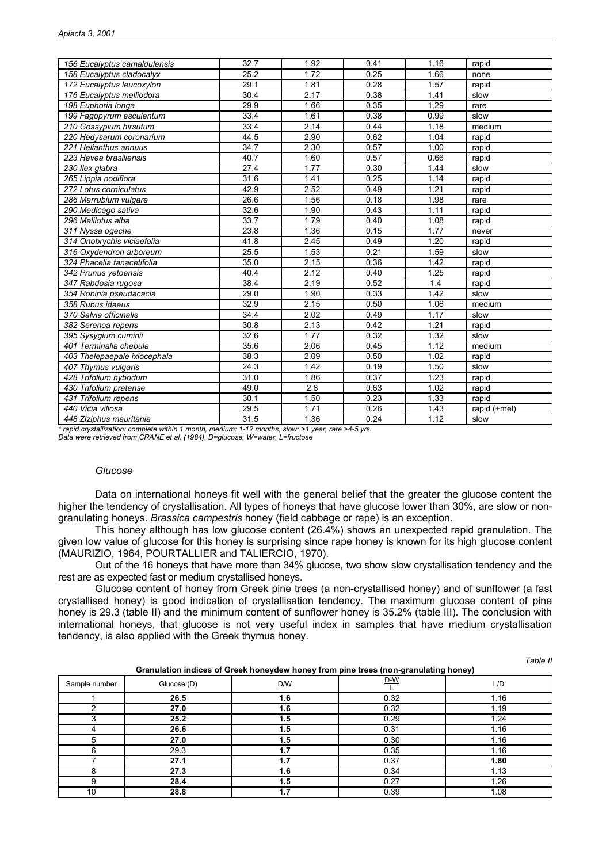| 156 Eucalyptus camaldulensis | 32.7 | 1.92 | 0.41 | 1.16 | rapid        |
|------------------------------|------|------|------|------|--------------|
| 158 Eucalyptus cladocalyx    | 25.2 | 1.72 | 0.25 | 1.66 | none         |
| 172 Eucalyptus leucoxylon    | 29.1 | 1.81 | 0.28 | 1.57 | rapid        |
| 176 Eucalyptus melliodora    | 30.4 | 2.17 | 0.38 | 1.41 | slow         |
| 198 Euphoria longa           | 29.9 | 1.66 | 0.35 | 1.29 | rare         |
| 199 Fagopyrum esculentum     | 33.4 | 1.61 | 0.38 | 0.99 | slow         |
| 210 Gossypium hirsutum       | 33.4 | 2.14 | 0.44 | 1.18 | medium       |
| 220 Hedysarum coronarium     | 44.5 | 2.90 | 0.62 | 1.04 | rapid        |
| 221 Helianthus annuus        | 34.7 | 2.30 | 0.57 | 1.00 | rapid        |
| 223 Hevea brasiliensis       | 40.7 | 1.60 | 0.57 | 0.66 | rapid        |
| 230 Ilex glabra              | 27.4 | 1.77 | 0.30 | 1.44 | slow         |
| 265 Lippia nodiflora         | 31.6 | 1.41 | 0.25 | 1.14 | rapid        |
| 272 Lotus corniculatus       | 42.9 | 2.52 | 0.49 | 1.21 | rapid        |
| 286 Marrubium vulgare        | 26.6 | 1.56 | 0.18 | 1.98 | rare         |
| 290 Medicago sativa          | 32.6 | 1.90 | 0.43 | 1.11 | rapid        |
| 296 Melilotus alba           | 33.7 | 1.79 | 0.40 | 1.08 | rapid        |
| 311 Nyssa ogeche             | 23.8 | 1.36 | 0.15 | 1.77 | never        |
| 314 Onobrychis viciaefolia   | 41.8 | 2.45 | 0.49 | 1.20 | rapid        |
| 316 Oxydendron arboreum      | 25.5 | 1.53 | 0.21 | 1.59 | slow         |
| 324 Phacelia tanacetifolia   | 35.0 | 2.15 | 0.36 | 1.42 | rapid        |
| 342 Prunus yetoensis         | 40.4 | 2.12 | 0.40 | 1.25 | rapid        |
| 347 Rabdosia rugosa          | 38.4 | 2.19 | 0.52 | 1.4  | rapid        |
| 354 Robinia pseudacacia      | 29.0 | 1.90 | 0.33 | 1.42 | slow         |
| 358 Rubus idaeus             | 32.9 | 2.15 | 0.50 | 1.06 | medium       |
| 370 Salvia officinalis       | 34.4 | 2.02 | 0.49 | 1.17 | slow         |
| 382 Serenoa repens           | 30.8 | 2.13 | 0.42 | 1.21 | rapid        |
| 395 Sysygium cuminii         | 32.6 | 1.77 | 0.32 | 1.32 | slow         |
| 401 Terminalia chebula       | 35.6 | 2.06 | 0.45 | 1.12 | medium       |
| 403 Thelepaepale ixiocephala | 38.3 | 2.09 | 0.50 | 1.02 | rapid        |
| 407 Thymus vulgaris          | 24.3 | 1.42 | 0.19 | 1.50 | slow         |
| 428 Trifolium hybridum       | 31.0 | 1.86 | 0.37 | 1.23 | rapid        |
| 430 Trifolium pratense       | 49.0 | 2.8  | 0.63 | 1.02 | rapid        |
| 431 Trifolium repens         | 30.1 | 1.50 | 0.23 | 1.33 | rapid        |
| 440 Vicia villosa            | 29.5 | 1.71 | 0.26 | 1.43 | rapid (+mel) |
| 448 Ziziphus mauritania      | 31.5 | 1.36 | 0.24 | 1.12 | slow         |

*\* rapid crystallization: complete within 1 month, medium: 1-12 months, slow: >1 year, rare >4-5 yrs.* 

*Data were retrieved from CRANE et al. (1984). D=glucose, W=water, L=fructose* 

## *Glucose*

Data on international honeys fit well with the general belief that the greater the glucose content the higher the tendency of crystallisation. All types of honeys that have glucose lower than 30%, are slow or nongranulating honeys. *Brassica campestris* honey (field cabbage or rape) is an exception.

 This honey although has low glucose content (26.4%) shows an unexpected rapid granulation. The given low value of glucose for this honey is surprising since rape honey is known for its high glucose content (MAURIZIO, 1964, POURTALLIER and TALIERCIO, 1970).

 Out of the 16 honeys that have more than 34% glucose, two show slow crystallisation tendency and the rest are as expected fast or medium crystallised honeys.

 Glucose content of honey from Greek pine trees (a non-crystallised honey) and of sunflower (a fast crystallised honey) is good indication of crystallisation tendency. The maximum glucose content of pine honey is 29.3 (table II) and the minimum content of sunflower honey is 35.2% (table III). The conclusion with international honeys, that glucose is not very useful index in samples that have medium crystallisation tendency, is also applied with the Greek thymus honey.

*Table II* 

|               | Granulation indices of Greek honeydew honey from pine trees (non-granulating honey) |     |       |      |  |  |  |  |  |
|---------------|-------------------------------------------------------------------------------------|-----|-------|------|--|--|--|--|--|
| Sample number | Glucose (D)                                                                         | D/W | $D-W$ | L/D  |  |  |  |  |  |
|               | 26.5                                                                                | 1.6 | 0.32  | 1.16 |  |  |  |  |  |
|               | 27.0                                                                                | 1.6 | 0.32  | 1.19 |  |  |  |  |  |
|               | 25.2                                                                                | 1.5 | 0.29  | 1.24 |  |  |  |  |  |
|               | 26.6                                                                                | 1.5 | 0.31  | 1.16 |  |  |  |  |  |
| 5             | 27.0                                                                                | 1.5 | 0.30  | 1.16 |  |  |  |  |  |
| ี             | 29.3                                                                                | 1.7 | 0.35  | 1.16 |  |  |  |  |  |
|               | 27.1                                                                                | 1.7 | 0.37  | 1.80 |  |  |  |  |  |
| Զ             | 27.3                                                                                | 1.6 | 0.34  | 1.13 |  |  |  |  |  |
| Й             | 28.4                                                                                | 1.5 | 0.27  | 1.26 |  |  |  |  |  |
| 10            | 28.8                                                                                | 1.7 | 0.39  | 1.08 |  |  |  |  |  |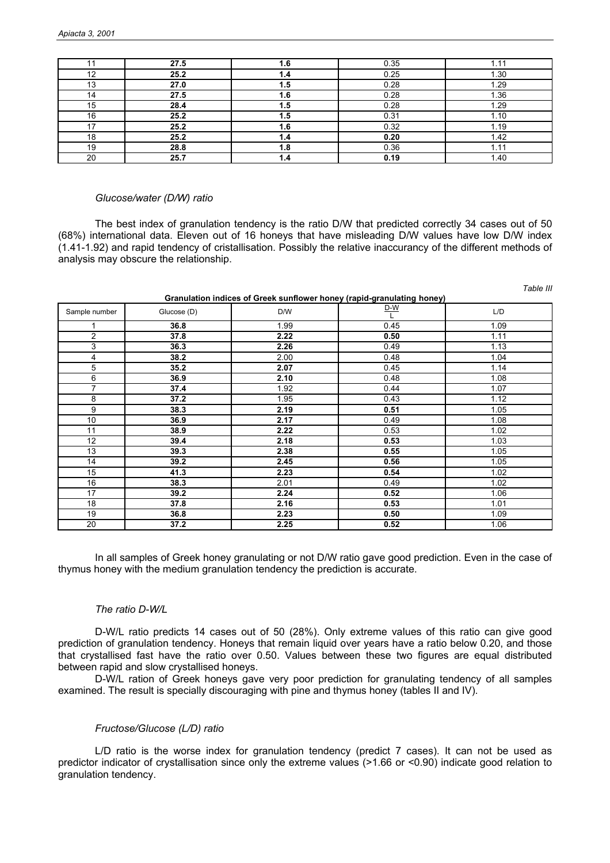| 11 | 27.5 | 1.6 | 0.35 | 1.11 |
|----|------|-----|------|------|
| 12 | 25.2 | 1.4 | 0.25 | 1.30 |
| 13 | 27.0 | 1.5 | 0.28 | 1.29 |
| 14 | 27.5 | 1.6 | 0.28 | 1.36 |
| 15 | 28.4 | 1.5 | 0.28 | 1.29 |
| 16 | 25.2 | 1.5 | 0.31 | 1.10 |
| 17 | 25.2 | 1.6 | 0.32 | 1.19 |
| 18 | 25.2 | 1.4 | 0.20 | 1.42 |
| 19 | 28.8 | 1.8 | 0.36 | 1.11 |
| 20 | 25.7 | 1.4 | 0.19 | 1.40 |

#### *Glucose/water (D/W) ratio*

The best index of granulation tendency is the ratio D/W that predicted correctly 34 cases out of 50 (68%) international data. Eleven out of 16 honeys that have misleading D/W values have low D/W index  $(1.41-1.92)$  and rapid tendency of cristallisation. Possibly the relative inaccurancy of the different methods of analysis may obscure the relationship.

| Granulation indices of Greek sunflower honey (rapid-granulating honey) |  |
|------------------------------------------------------------------------|--|
|------------------------------------------------------------------------|--|

*Table III* 

| Sample number | Glucose (D) | D/W  | $rac{D-W}{L}$ | L/D  |
|---------------|-------------|------|---------------|------|
|               | 36.8        | 1.99 | 0.45          | 1.09 |
| 2             | 37.8        | 2.22 | 0.50          | 1.11 |
| 3             | 36.3        | 2.26 | 0.49          | 1.13 |
| 4             | 38.2        | 2.00 | 0.48          | 1.04 |
| 5             | 35.2        | 2.07 | 0.45          | 1.14 |
| 6             | 36.9        | 2.10 | 0.48          | 1.08 |
| 7             | 37.4        | 1.92 | 0.44          | 1.07 |
| 8             | 37.2        | 1.95 | 0.43          | 1.12 |
| 9             | 38.3        | 2.19 | 0.51          | 1.05 |
| 10            | 36.9        | 2.17 | 0.49          | 1.08 |
| 11            | 38.9        | 2.22 | 0.53          | 1.02 |
| 12            | 39.4        | 2.18 | 0.53          | 1.03 |
| 13            | 39.3        | 2.38 | 0.55          | 1.05 |
| 14            | 39.2        | 2.45 | 0.56          | 1.05 |
| 15            | 41.3        | 2.23 | 0.54          | 1.02 |
| 16            | 38.3        | 2.01 | 0.49          | 1.02 |
| 17            | 39.2        | 2.24 | 0.52          | 1.06 |
| 18            | 37.8        | 2.16 | 0.53          | 1.01 |
| 19            | 36.8        | 2.23 | 0.50          | 1.09 |
| 20            | 37.2        | 2.25 | 0.52          | 1.06 |

 In all samples of Greek honey granulating or not D/W ratio gave good prediction. Even in the case of thymus honey with the medium granulation tendency the prediction is accurate.

## *The ratio D-W/L*

 D-W/L ratio predicts 14 cases out of 50 (28%). Only extreme values of this ratio can give good prediction of granulation tendency. Honeys that remain liquid over years have a ratio below 0.20, and those that crystallised fast have the ratio over 0.50. Values between these two figures are equal distributed between rapid and slow crystallised honeys.

 D-W/L ration of Greek honeys gave very poor prediction for granulating tendency of all samples examined. The result is specially discouraging with pine and thymus honey (tables II and IV).

## *Fructose/Glucose (L/D) ratio*

 L/D ratio is the worse index for granulation tendency (predict 7 cases). It can not be used as predictor indicator of crystallisation since only the extreme values (>1.66 or <0.90) indicate good relation to granulation tendency.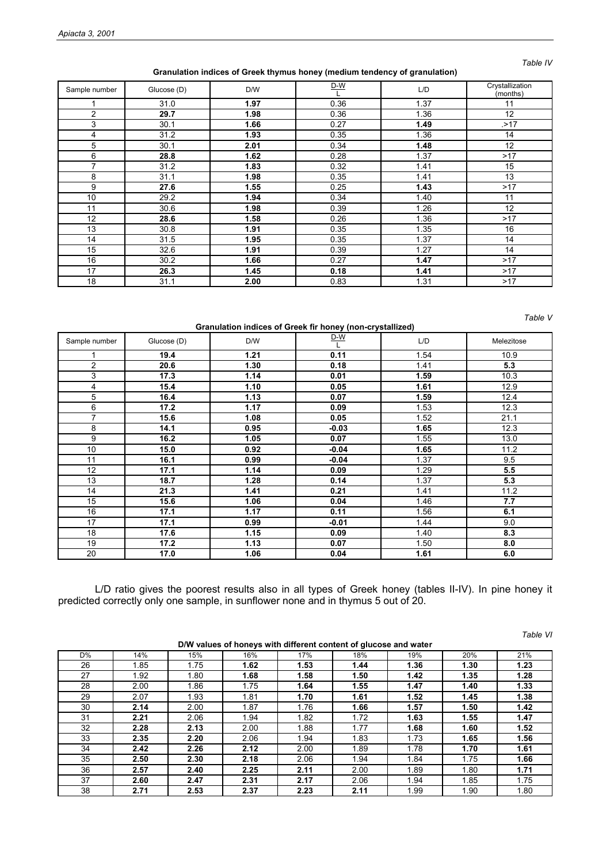#### *Table IV*

**Granulation indices of Greek thymus honey (medium tendency of granulation)** 

| Sample number | Glucose (D) | D/W  | $D-W$ | L/D  | Crystallization<br>(months) |
|---------------|-------------|------|-------|------|-----------------------------|
|               | 31.0        | 1.97 | 0.36  | 1.37 | 11                          |
| 2             | 29.7        | 1.98 | 0.36  | 1.36 | 12                          |
| 3             | 30.1        | 1.66 | 0.27  | 1.49 | . > 17                      |
| 4             | 31.2        | 1.93 | 0.35  | 1.36 | 14                          |
| 5             | 30.1        | 2.01 | 0.34  | 1.48 | 12                          |
| 6             | 28.8        | 1.62 | 0.28  | 1.37 | >17                         |
| 7             | 31.2        | 1.83 | 0.32  | 1.41 | 15                          |
| 8             | 31.1        | 1.98 | 0.35  | 1.41 | 13                          |
| 9             | 27.6        | 1.55 | 0.25  | 1.43 | >17                         |
| 10            | 29.2        | 1.94 | 0.34  | 1.40 | 11                          |
| 11            | 30.6        | 1.98 | 0.39  | 1.26 | 12                          |
| 12            | 28.6        | 1.58 | 0.26  | 1.36 | >17                         |
| 13            | 30.8        | 1.91 | 0.35  | 1.35 | 16                          |
| 14            | 31.5        | 1.95 | 0.35  | 1.37 | 14                          |
| 15            | 32.6        | 1.91 | 0.39  | 1.27 | 14                          |
| 16            | 30.2        | 1.66 | 0.27  | 1.47 | >17                         |
| 17            | 26.3        | 1.45 | 0.18  | 1.41 | >17                         |
| 18            | 31.1        | 2.00 | 0.83  | 1.31 | >17                         |

*Table V* 

**Granulation indices of Greek fir honey (non-crystallized)** 

| Sample number  | Glucose (D) | D/W  | <u>D-W</u> | L/D  | Melezitose |
|----------------|-------------|------|------------|------|------------|
|                | 19.4        | 1.21 | 0.11       | 1.54 | 10.9       |
| $\overline{c}$ | 20.6        | 1.30 | 0.18       | 1.41 | 5.3        |
| 3              | 17.3        | 1.14 | 0.01       | 1.59 | 10.3       |
| 4              | 15.4        | 1.10 | 0.05       | 1.61 | 12.9       |
| 5              | 16.4        | 1.13 | 0.07       | 1.59 | 12.4       |
| 6              | 17.2        | 1.17 | 0.09       | 1.53 | 12.3       |
| 7              | 15.6        | 1.08 | 0.05       | 1.52 | 21.1       |
| 8              | 14.1        | 0.95 | $-0.03$    | 1.65 | 12.3       |
| 9              | 16.2        | 1.05 | 0.07       | 1.55 | 13.0       |
| 10             | 15.0        | 0.92 | $-0.04$    | 1.65 | 11.2       |
| 11             | 16.1        | 0.99 | $-0.04$    | 1.37 | 9.5        |
| 12             | 17.1        | 1.14 | 0.09       | 1.29 | 5.5        |
| 13             | 18.7        | 1.28 | 0.14       | 1.37 | 5.3        |
| 14             | 21.3        | 1.41 | 0.21       | 1.41 | 11.2       |
| 15             | 15.6        | 1.06 | 0.04       | 1.46 | 7.7        |
| 16             | 17.1        | 1.17 | 0.11       | 1.56 | 6.1        |
| 17             | 17.1        | 0.99 | -0.01      | 1.44 | 9.0        |
| 18             | 17.6        | 1.15 | 0.09       | 1.40 | 8.3        |
| 19             | 17.2        | 1.13 | 0.07       | 1.50 | 8.0        |
| 20             | 17.0        | 1.06 | 0.04       | 1.61 | 6.0        |

L/D ratio gives the poorest results also in all types of Greek honey (tables II-IV). In pine honey it predicted correctly only one sample, in sunflower none and in thymus 5 out of 20.

|    |      |      |      |                                                                  |      |      |      | Table VI |
|----|------|------|------|------------------------------------------------------------------|------|------|------|----------|
|    |      |      |      | D/W values of honeys with different content of glucose and water |      |      |      |          |
| D% | 14%  | 15%  | 16%  | 17%                                                              | 18%  | 19%  | 20%  | 21%      |
| 26 | 1.85 | 1.75 | 1.62 | 1.53                                                             | 1.44 | 1.36 | 1.30 | 1.23     |
| 27 | 1.92 | 1.80 | 1.68 | 1.58                                                             | 1.50 | 1.42 | 1.35 | 1.28     |
| 28 | 2.00 | 1.86 | 1.75 | 1.64                                                             | 1.55 | 1.47 | 1.40 | 1.33     |
| 29 | 2.07 | 1.93 | 1.81 | 1.70                                                             | 1.61 | 1.52 | 1.45 | 1.38     |
| 30 | 2.14 | 2.00 | 1.87 | 1.76                                                             | 1.66 | 1.57 | 1.50 | 1.42     |
| 31 | 2.21 | 2.06 | 1.94 | 1.82                                                             | 1.72 | 1.63 | 1.55 | 1.47     |
| 32 | 2.28 | 2.13 | 2.00 | 1.88                                                             | 1.77 | 1.68 | 1.60 | 1.52     |
| 33 | 2.35 | 2.20 | 2.06 | 1.94                                                             | 1.83 | 1.73 | 1.65 | 1.56     |
| 34 | 2.42 | 2.26 | 2.12 | 2.00                                                             | 1.89 | 1.78 | 1.70 | 1.61     |
| 35 | 2.50 | 2.30 | 2.18 | 2.06                                                             | 1.94 | 1.84 | 1.75 | 1.66     |
| 36 | 2.57 | 2.40 | 2.25 | 2.11                                                             | 2.00 | 1.89 | 1.80 | 1.71     |
| 37 | 2.60 | 2.47 | 2.31 | 2.17                                                             | 2.06 | 1.94 | 1.85 | 1.75     |
| 38 | 2.71 | 2.53 | 2.37 | 2.23                                                             | 2.11 | 1.99 | 1.90 | 1.80     |